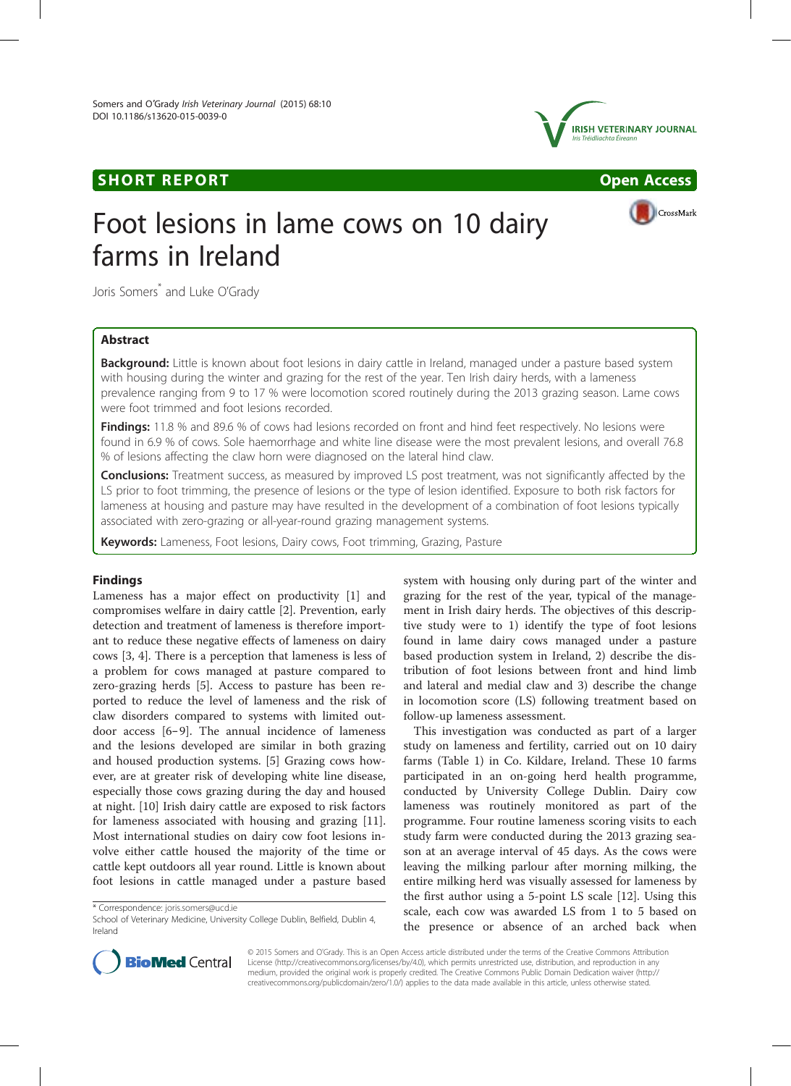### SHORT REPORT **Open Access**



CrossMark

# Foot lesions in lame cows on 10 dairy farms in Ireland

Joris Somers<sup>\*</sup> and Luke O'Grady

#### Abstract

Background: Little is known about foot lesions in dairy cattle in Ireland, managed under a pasture based system with housing during the winter and grazing for the rest of the year. Ten Irish dairy herds, with a lameness prevalence ranging from 9 to 17 % were locomotion scored routinely during the 2013 grazing season. Lame cows were foot trimmed and foot lesions recorded.

Findings: 11.8 % and 89.6 % of cows had lesions recorded on front and hind feet respectively. No lesions were found in 6.9 % of cows. Sole haemorrhage and white line disease were the most prevalent lesions, and overall 76.8 % of lesions affecting the claw horn were diagnosed on the lateral hind claw.

Conclusions: Treatment success, as measured by improved LS post treatment, was not significantly affected by the LS prior to foot trimming, the presence of lesions or the type of lesion identified. Exposure to both risk factors for lameness at housing and pasture may have resulted in the development of a combination of foot lesions typically associated with zero-grazing or all-year-round grazing management systems.

Keywords: Lameness, Foot lesions, Dairy cows, Foot trimming, Grazing, Pasture

#### Findings

Lameness has a major effect on productivity [1] and compromises welfare in dairy cattle [2]. Prevention, early detection and treatment of lameness is therefore important to reduce these negative effects of lameness on dairy cows [3, 4]. There is a perception that lameness is less of a problem for cows managed at pasture compared to zero-grazing herds [5]. Access to pasture has been reported to reduce the level of lameness and the risk of claw disorders compared to systems with limited outdoor access [6–9]. The annual incidence of lameness and the lesions developed are similar in both grazing and housed production systems. [5] Grazing cows however, are at greater risk of developing white line disease, especially those cows grazing during the day and housed at night. [10] Irish dairy cattle are exposed to risk factors for lameness associated with housing and grazing [11]. Most international studies on dairy cow foot lesions involve either cattle housed the majority of the time or cattle kept outdoors all year round. Little is known about foot lesions in cattle managed under a pasture based

\* Correspondence: joris.somers@ucd.ie

School of Veterinary Medicine, University College Dublin, Belfield, Dublin 4, Ireland

system with housing only during part of the winter and grazing for the rest of the year, typical of the management in Irish dairy herds. The objectives of this descriptive study were to 1) identify the type of foot lesions found in lame dairy cows managed under a pasture based production system in Ireland, 2) describe the distribution of foot lesions between front and hind limb and lateral and medial claw and 3) describe the change in locomotion score (LS) following treatment based on follow-up lameness assessment.

This investigation was conducted as part of a larger study on lameness and fertility, carried out on 10 dairy farms (Table 1) in Co. Kildare, Ireland. These 10 farms participated in an on-going herd health programme, conducted by University College Dublin. Dairy cow lameness was routinely monitored as part of the programme. Four routine lameness scoring visits to each study farm were conducted during the 2013 grazing season at an average interval of 45 days. As the cows were leaving the milking parlour after morning milking, the entire milking herd was visually assessed for lameness by the first author using a 5-point LS scale [12]. Using this scale, each cow was awarded LS from 1 to 5 based on the presence or absence of an arched back when



© 2015 Somers and O'Grady. This is an Open Access article distributed under the terms of the Creative Commons Attribution License (http://creativecommons.org/licenses/by/4.0), which permits unrestricted use, distribution, and reproduction in any medium, provided the original work is properly credited. The Creative Commons Public Domain Dedication waiver (http:// creativecommons.org/publicdomain/zero/1.0/) applies to the data made available in this article, unless otherwise stated.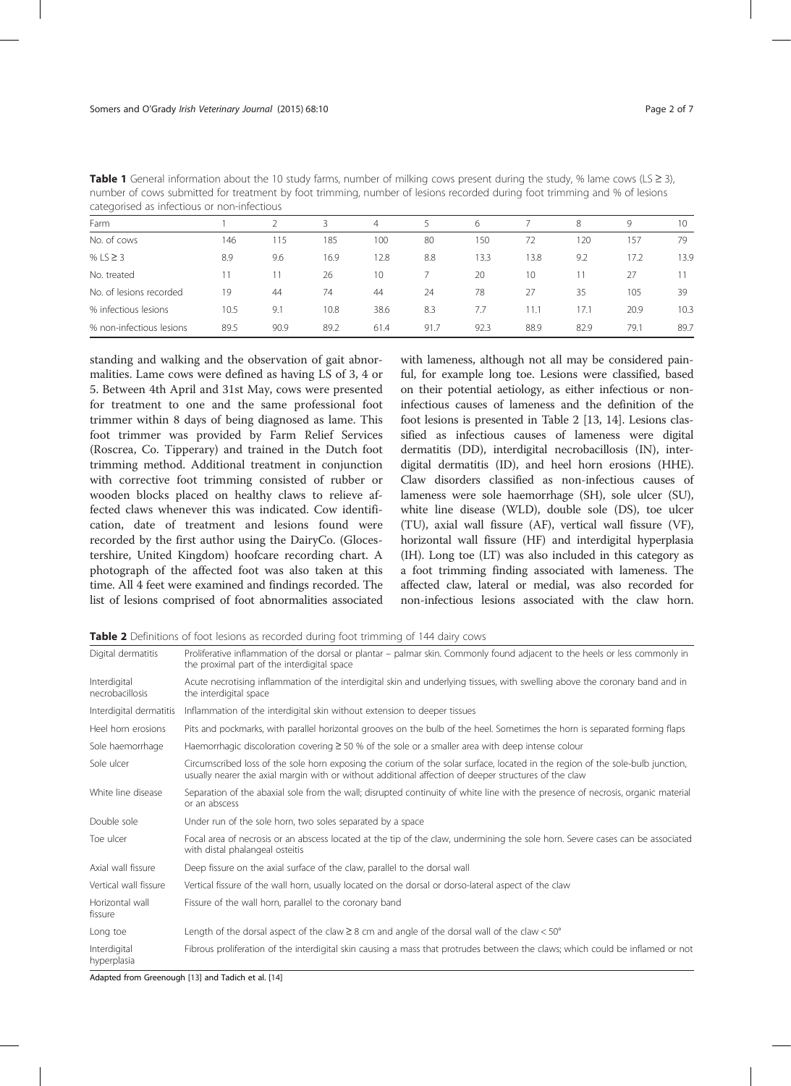| Farm                     |      |      | २    | 4    | 5.   | 6    |      | 8    | 9    | 10   |
|--------------------------|------|------|------|------|------|------|------|------|------|------|
| No. of cows              | 146  | 115  | 185  | 100  | 80   | 150  | 72   | 120  | 157  | 79   |
| % LS $\geq$ 3            | 8.9  | 9.6  | 16.9 | 12.8 | 8.8  | 13.3 | 13.8 | 9.2  | 17.2 | 13.9 |
| No. treated              |      |      | 26   | 10   |      | 20   | 10   | 11   | 27   |      |
| No. of lesions recorded  | 19   | 44   | 74   | 44   | 24   | 78   | 27   | 35   | 105  | 39   |
| % infectious lesions     | 10.5 | 9.1  | 10.8 | 38.6 | 8.3  | 7.7  | 11.1 | 17.1 | 20.9 | 10.3 |
| % non-infectious lesions | 89.5 | 90.9 | 89.2 | 61.4 | 91.7 | 92.3 | 88.9 | 82.9 | 79.1 | 89.7 |

Table 1 General information about the 10 study farms, number of milking cows present during the study, % lame cows (LS  $\geq$  3), number of cows submitted for treatment by foot trimming, number of lesions recorded during foot trimming and % of lesions categorised as infectious or non-infectious

standing and walking and the observation of gait abnormalities. Lame cows were defined as having LS of 3, 4 or 5. Between 4th April and 31st May, cows were presented for treatment to one and the same professional foot trimmer within 8 days of being diagnosed as lame. This foot trimmer was provided by Farm Relief Services (Roscrea, Co. Tipperary) and trained in the Dutch foot trimming method. Additional treatment in conjunction with corrective foot trimming consisted of rubber or wooden blocks placed on healthy claws to relieve affected claws whenever this was indicated. Cow identification, date of treatment and lesions found were recorded by the first author using the DairyCo. (Glocestershire, United Kingdom) hoofcare recording chart. A photograph of the affected foot was also taken at this time. All 4 feet were examined and findings recorded. The list of lesions comprised of foot abnormalities associated

with lameness, although not all may be considered painful, for example long toe. Lesions were classified, based on their potential aetiology, as either infectious or noninfectious causes of lameness and the definition of the foot lesions is presented in Table 2 [13, 14]. Lesions classified as infectious causes of lameness were digital dermatitis (DD), interdigital necrobacillosis (IN), interdigital dermatitis (ID), and heel horn erosions (HHE). Claw disorders classified as non-infectious causes of lameness were sole haemorrhage (SH), sole ulcer (SU), white line disease (WLD), double sole (DS), toe ulcer (TU), axial wall fissure (AF), vertical wall fissure (VF), horizontal wall fissure (HF) and interdigital hyperplasia (IH). Long toe (LT) was also included in this category as a foot trimming finding associated with lameness. The affected claw, lateral or medial, was also recorded for non-infectious lesions associated with the claw horn.

Table 2 Definitions of foot lesions as recorded during foot trimming of 144 dairy cows

| Digital dermatitis              | Proliferative inflammation of the dorsal or plantar – palmar skin. Commonly found adjacent to the heels or less commonly in<br>the proximal part of the interdigital space                                                              |
|---------------------------------|-----------------------------------------------------------------------------------------------------------------------------------------------------------------------------------------------------------------------------------------|
| Interdigital<br>necrobacillosis | Acute necrotising inflammation of the interdigital skin and underlying tissues, with swelling above the coronary band and in<br>the interdigital space                                                                                  |
| Interdigital dermatitis         | Inflammation of the interdigital skin without extension to deeper tissues                                                                                                                                                               |
| Heel horn erosions              | Pits and pockmarks, with parallel horizontal grooves on the bulb of the heel. Sometimes the horn is separated forming flaps                                                                                                             |
| Sole haemorrhage                | Haemorrhagic discoloration covering $\geq$ 50 % of the sole or a smaller area with deep intense colour                                                                                                                                  |
| Sole ulcer                      | Circumscribed loss of the sole horn exposing the corium of the solar surface, located in the region of the sole-bulb junction,<br>usually nearer the axial margin with or without additional affection of deeper structures of the claw |
| White line disease              | Separation of the abaxial sole from the wall; disrupted continuity of white line with the presence of necrosis, organic material<br>or an abscess                                                                                       |
| Double sole                     | Under run of the sole horn, two soles separated by a space                                                                                                                                                                              |
| Toe ulcer                       | Focal area of necrosis or an abscess located at the tip of the claw, undermining the sole horn. Severe cases can be associated<br>with distal phalangeal osteitis                                                                       |
| Axial wall fissure              | Deep fissure on the axial surface of the claw, parallel to the dorsal wall                                                                                                                                                              |
| Vertical wall fissure           | Vertical fissure of the wall horn, usually located on the dorsal or dorso-lateral aspect of the claw                                                                                                                                    |
| Horizontal wall<br>fissure      | Fissure of the wall horn, parallel to the coronary band                                                                                                                                                                                 |
| Long toe                        | Length of the dorsal aspect of the claw $\geq 8$ cm and angle of the dorsal wall of the claw < 50°                                                                                                                                      |
| Interdigital<br>hyperplasia     | Fibrous proliferation of the interdigital skin causing a mass that protrudes between the claws; which could be inflamed or not                                                                                                          |

Adapted from Greenough [13] and Tadich et al. [14]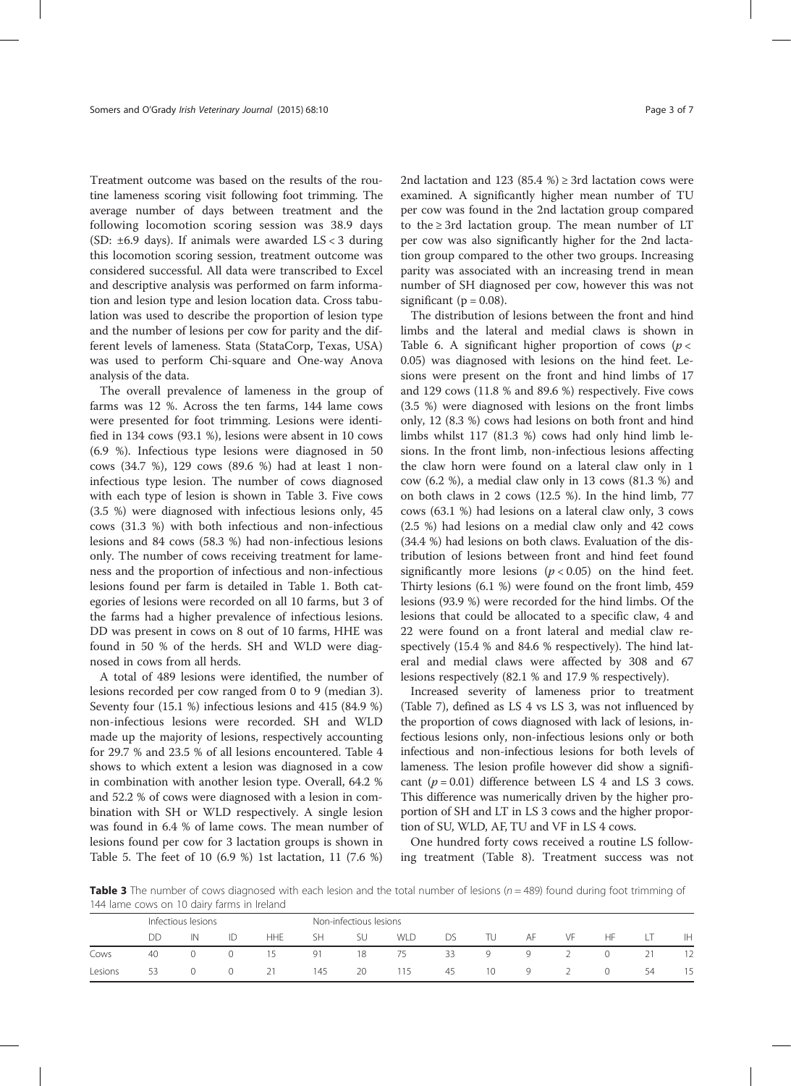Treatment outcome was based on the results of the routine lameness scoring visit following foot trimming. The average number of days between treatment and the following locomotion scoring session was 38.9 days (SD:  $\pm$ 6.9 days). If animals were awarded LS < 3 during this locomotion scoring session, treatment outcome was considered successful. All data were transcribed to Excel and descriptive analysis was performed on farm information and lesion type and lesion location data. Cross tabulation was used to describe the proportion of lesion type and the number of lesions per cow for parity and the different levels of lameness. Stata (StataCorp, Texas, USA) was used to perform Chi-square and One-way Anova analysis of the data.

The overall prevalence of lameness in the group of farms was 12 %. Across the ten farms, 144 lame cows were presented for foot trimming. Lesions were identified in 134 cows (93.1 %), lesions were absent in 10 cows (6.9 %). Infectious type lesions were diagnosed in 50 cows (34.7 %), 129 cows (89.6 %) had at least 1 noninfectious type lesion. The number of cows diagnosed with each type of lesion is shown in Table 3. Five cows (3.5 %) were diagnosed with infectious lesions only, 45 cows (31.3 %) with both infectious and non-infectious lesions and 84 cows (58.3 %) had non-infectious lesions only. The number of cows receiving treatment for lameness and the proportion of infectious and non-infectious lesions found per farm is detailed in Table 1. Both categories of lesions were recorded on all 10 farms, but 3 of the farms had a higher prevalence of infectious lesions. DD was present in cows on 8 out of 10 farms, HHE was found in 50 % of the herds. SH and WLD were diagnosed in cows from all herds.

A total of 489 lesions were identified, the number of lesions recorded per cow ranged from 0 to 9 (median 3). Seventy four (15.1 %) infectious lesions and 415 (84.9 %) non-infectious lesions were recorded. SH and WLD made up the majority of lesions, respectively accounting for 29.7 % and 23.5 % of all lesions encountered. Table 4 shows to which extent a lesion was diagnosed in a cow in combination with another lesion type. Overall, 64.2 % and 52.2 % of cows were diagnosed with a lesion in combination with SH or WLD respectively. A single lesion was found in 6.4 % of lame cows. The mean number of lesions found per cow for 3 lactation groups is shown in Table 5. The feet of 10 (6.9 %) 1st lactation, 11 (7.6 %) 2nd lactation and 123 (85.4 %) ≥ 3rd lactation cows were examined. A significantly higher mean number of TU per cow was found in the 2nd lactation group compared to the  $\geq$  3rd lactation group. The mean number of LT per cow was also significantly higher for the 2nd lactation group compared to the other two groups. Increasing parity was associated with an increasing trend in mean number of SH diagnosed per cow, however this was not significant ( $p = 0.08$ ).

The distribution of lesions between the front and hind limbs and the lateral and medial claws is shown in Table 6. A significant higher proportion of cows ( $p <$ 0.05) was diagnosed with lesions on the hind feet. Lesions were present on the front and hind limbs of 17 and 129 cows (11.8 % and 89.6 %) respectively. Five cows (3.5 %) were diagnosed with lesions on the front limbs only, 12 (8.3 %) cows had lesions on both front and hind limbs whilst 117 (81.3 %) cows had only hind limb lesions. In the front limb, non-infectious lesions affecting the claw horn were found on a lateral claw only in 1 cow (6.2 %), a medial claw only in 13 cows (81.3 %) and on both claws in 2 cows (12.5 %). In the hind limb, 77 cows (63.1 %) had lesions on a lateral claw only, 3 cows (2.5 %) had lesions on a medial claw only and 42 cows (34.4 %) had lesions on both claws. Evaluation of the distribution of lesions between front and hind feet found significantly more lesions  $(p < 0.05)$  on the hind feet. Thirty lesions (6.1 %) were found on the front limb, 459 lesions (93.9 %) were recorded for the hind limbs. Of the lesions that could be allocated to a specific claw, 4 and 22 were found on a front lateral and medial claw respectively (15.4 % and 84.6 % respectively). The hind lateral and medial claws were affected by 308 and 67 lesions respectively (82.1 % and 17.9 % respectively).

Increased severity of lameness prior to treatment (Table 7), defined as LS 4 vs LS 3, was not influenced by the proportion of cows diagnosed with lack of lesions, infectious lesions only, non-infectious lesions only or both infectious and non-infectious lesions for both levels of lameness. The lesion profile however did show a significant  $(p = 0.01)$  difference between LS 4 and LS 3 cows. This difference was numerically driven by the higher proportion of SH and LT in LS 3 cows and the higher proportion of SU, WLD, AF, TU and VF in LS 4 cows.

One hundred forty cows received a routine LS following treatment (Table 8). Treatment success was not

Table 3 The number of cows diagnosed with each lesion and the total number of lesions  $(n = 489)$  found during foot trimming of 144 lame cows on 10 dairy farms in Ireland

|         | Infectious lesions |    |    |            | Non-infectious lesions |    |            |    |                 |              |    |    |    |     |
|---------|--------------------|----|----|------------|------------------------|----|------------|----|-----------------|--------------|----|----|----|-----|
|         | DD                 | IN | ID | <b>HHE</b> | SН                     | SU | <b>WLD</b> | DS | TU              | AF           | VF | HF |    | IH. |
| Cows    | 40                 |    |    |            | 91                     | 18 | 75         | 33 | Q               | Q            |    |    |    |     |
| Lesions | 53                 |    |    | 21         | 145                    | 20 | 115        | 45 | 10 <sup>°</sup> | $\mathsf{Q}$ |    | ∩  | 54 | 15  |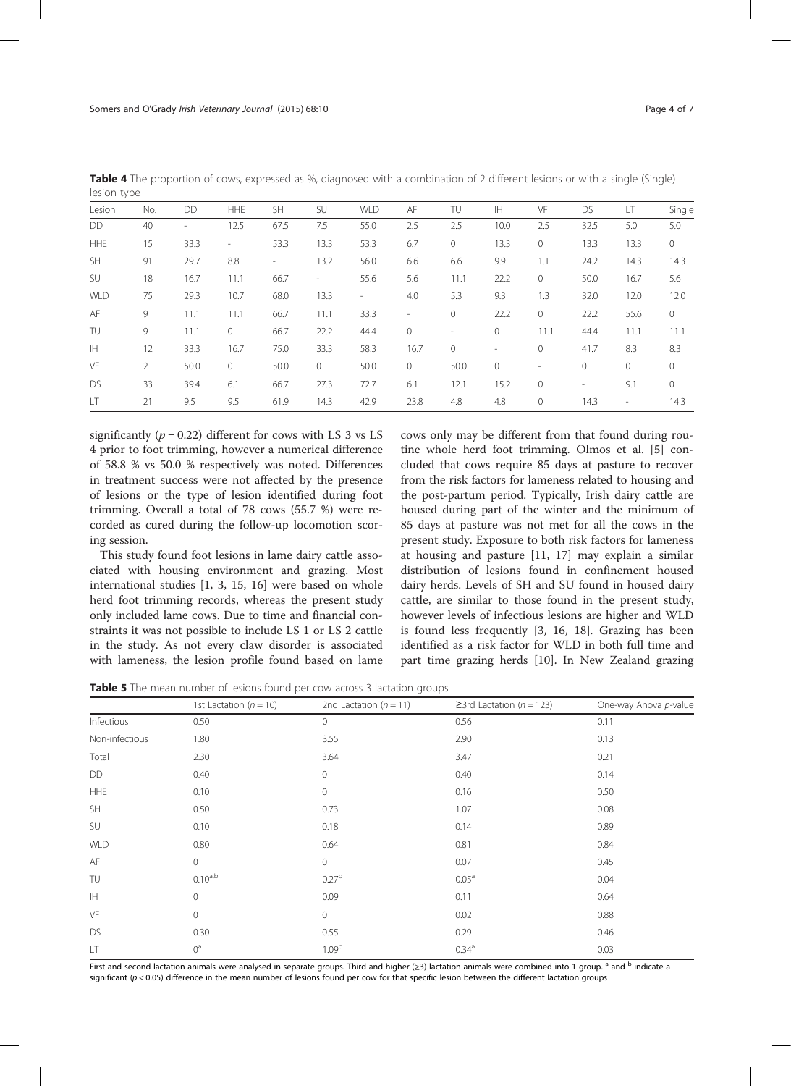| Lesion     | No.            | DD                       | <b>HHE</b>               | <b>SH</b> | SU     | <b>WLD</b>               | AF                       | TU                       | <b>IH</b>      | VF           | <b>DS</b>                | LT                       | Single       |
|------------|----------------|--------------------------|--------------------------|-----------|--------|--------------------------|--------------------------|--------------------------|----------------|--------------|--------------------------|--------------------------|--------------|
| DD         | 40             | $\overline{\phantom{a}}$ | 12.5                     | 67.5      | 7.5    | 55.0                     | 2.5                      | 2.5                      | 10.0           | 2.5          | 32.5                     | 5.0                      | 5.0          |
| <b>HHE</b> | 15             | 33.3                     | $\overline{\phantom{a}}$ | 53.3      | 13.3   | 53.3                     | 6.7                      | $\circ$                  | 13.3           | $\mathbf 0$  | 13.3                     | 13.3                     | $\circ$      |
| <b>SH</b>  | 91             | 29.7                     | 8.8                      | $\sim$    | 13.2   | 56.0                     | 6.6                      | 6.6                      | 9.9            | 1.1          | 24.2                     | 14.3                     | 14.3         |
| SU         | 18             | 16.7                     | 11.1                     | 66.7      | $\sim$ | 55.6                     | 5.6                      | 11.1                     | 22.2           | $\mathbf 0$  | 50.0                     | 16.7                     | 5.6          |
| <b>WLD</b> | 75             | 29.3                     | 10.7                     | 68.0      | 13.3   | $\overline{\phantom{a}}$ | 4.0                      | 5.3                      | 9.3            | 1.3          | 32.0                     | 12.0                     | 12.0         |
| AF         | 9              | 11.1                     | 11.1                     | 66.7      | 11.1   | 33.3                     | $\overline{\phantom{a}}$ | 0                        | 22.2           | $\mathbf 0$  | 22.2                     | 55.6                     | $\circ$      |
| TU         | 9              | 11.1                     | 0                        | 66.7      | 22.2   | 44.4                     | $\circ$                  | $\overline{\phantom{a}}$ | $\mathbf 0$    | 11.1         | 44.4                     | 11.1                     | 11.1         |
| H          | 12             | 33.3                     | 16.7                     | 75.0      | 33.3   | 58.3                     | 16.7                     | $\mathbf{0}$             | $\sim$         | $\mathbf{0}$ | 41.7                     | 8.3                      | 8.3          |
| VF         | $\overline{2}$ | 50.0                     | $\circ$                  | 50.0      | 0      | 50.0                     | $\mathbf{0}$             | 50.0                     | $\overline{0}$ | $\sim$       | $\circ$                  | $\mathbf{0}$             | $\mathbf{0}$ |
| <b>DS</b>  | 33             | 39.4                     | 6.1                      | 66.7      | 27.3   | 72.7                     | 6.1                      | 12.1                     | 15.2           | $\mathbf{0}$ | $\overline{\phantom{a}}$ | 9.1                      | $\mathbf{0}$ |
| LT         | 21             | 9.5                      | 9.5                      | 61.9      | 14.3   | 42.9                     | 23.8                     | 4.8                      | 4.8            | $\mathbf{0}$ | 14.3                     | $\overline{\phantom{a}}$ | 14.3         |

Table 4 The proportion of cows, expressed as %, diagnosed with a combination of 2 different lesions or with a single (Single) lesion type

significantly ( $p = 0.22$ ) different for cows with LS 3 vs LS 4 prior to foot trimming, however a numerical difference of 58.8 % vs 50.0 % respectively was noted. Differences in treatment success were not affected by the presence of lesions or the type of lesion identified during foot trimming. Overall a total of 78 cows (55.7 %) were recorded as cured during the follow-up locomotion scoring session.

This study found foot lesions in lame dairy cattle associated with housing environment and grazing. Most international studies [1, 3, 15, 16] were based on whole herd foot trimming records, whereas the present study only included lame cows. Due to time and financial constraints it was not possible to include LS 1 or LS 2 cattle in the study. As not every claw disorder is associated with lameness, the lesion profile found based on lame

cows only may be different from that found during routine whole herd foot trimming. Olmos et al. [5] concluded that cows require 85 days at pasture to recover from the risk factors for lameness related to housing and the post-partum period. Typically, Irish dairy cattle are housed during part of the winter and the minimum of 85 days at pasture was not met for all the cows in the present study. Exposure to both risk factors for lameness at housing and pasture [11, 17] may explain a similar distribution of lesions found in confinement housed dairy herds. Levels of SH and SU found in housed dairy cattle, are similar to those found in the present study, however levels of infectious lesions are higher and WLD is found less frequently [3, 16, 18]. Grazing has been identified as a risk factor for WLD in both full time and part time grazing herds [10]. In New Zealand grazing

Table 5 The mean number of lesions found per cow across 3 lactation groups

|                | 1st Lactation ( $n = 10$ ) | 2nd Lactation ( $n = 11$ ) | $\geq$ 3rd Lactation (n = 123) | One-way Anova p-value |
|----------------|----------------------------|----------------------------|--------------------------------|-----------------------|
| Infectious     | 0.50                       | $\mathbf 0$                | 0.56                           | 0.11                  |
| Non-infectious | 1.80                       | 3.55                       | 2.90                           | 0.13                  |
| Total          | 2.30                       | 3.64                       | 3.47                           | 0.21                  |
| DD             | 0.40                       | $\mathbf{0}$               | 0.40                           | 0.14                  |
| <b>HHE</b>     | 0.10                       | $\mathbf 0$                | 0.16                           | 0.50                  |
| SH             | 0.50                       | 0.73                       | 1.07                           | 0.08                  |
| SU             | 0.10                       | 0.18                       | 0.14                           | 0.89                  |
| <b>WLD</b>     | 0.80                       | 0.64                       | 0.81                           | 0.84                  |
| AF             | $\mathbf 0$                | $\mathsf{O}\xspace$        | 0.07                           | 0.45                  |
| TU             | $0.10^{a,b}$               | 0.27 <sup>b</sup>          | $0.05^{\text{a}}$              | 0.04                  |
| H              | $\circ$                    | 0.09                       | 0.11                           | 0.64                  |
| VF             | $\circ$                    | $\mathbf 0$                | 0.02                           | 0.88                  |
| <b>DS</b>      | 0.30                       | 0.55                       | 0.29                           | 0.46                  |
| LT             | $0^a$                      | 1.09 <sup>b</sup>          | 0.34 <sup>a</sup>              | 0.03                  |

First and second lactation animals were analysed in separate groups. Third and higher (≥3) lactation animals were combined into 1 group. <sup>a</sup> and <sup>b</sup> indicate a significant  $(p < 0.05)$  difference in the mean number of lesions found per cow for that specific lesion between the different lactation groups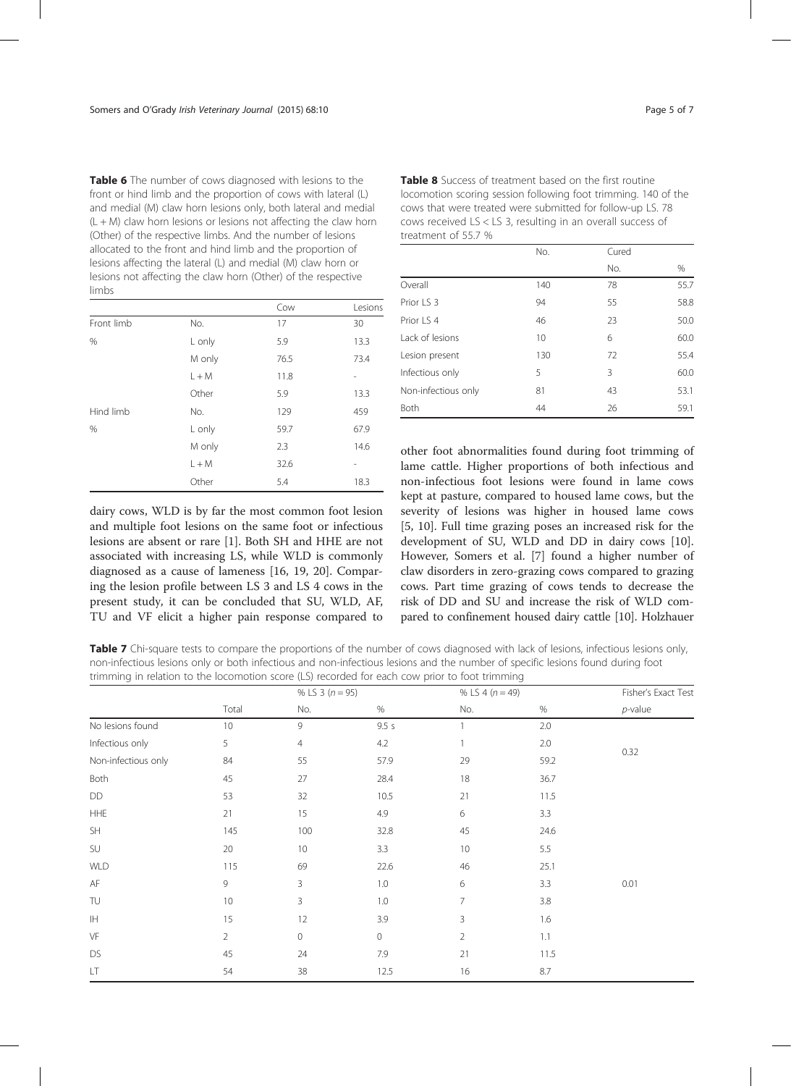|            |         | Cow  | Lesions |
|------------|---------|------|---------|
| Front limb | No.     | 17   | 30      |
| %          | L only  | 5.9  | 13.3    |
|            | M only  | 76.5 | 73.4    |
|            | $L + M$ | 11.8 |         |
|            | Other   | 5.9  | 13.3    |
| Hind limb  | No.     | 129  | 459     |
| %          | L only  | 59.7 | 67.9    |
|            | M only  | 2.3  | 14.6    |
|            | $L + M$ | 32.6 | ٠       |
|            | Other   | 5.4  | 18.3    |

dairy cows, WLD is by far the most common foot lesion and multiple foot lesions on the same foot or infectious lesions are absent or rare [1]. Both SH and HHE are not associated with increasing LS, while WLD is commonly diagnosed as a cause of lameness [16, 19, 20]. Comparing the lesion profile between LS 3 and LS 4 cows in the present study, it can be concluded that SU, WLD, AF, TU and VF elicit a higher pain response compared to

Table 8 Success of treatment based on the first routine locomotion scoring session following foot trimming. 140 of the cows that were treated were submitted for follow-up LS. 78 cows received LS < LS 3, resulting in an overall success of treatment of 55.7 %

|                       | No. | Cured |      |
|-----------------------|-----|-------|------|
|                       |     | No.   | %    |
| Overall               | 140 | 78    | 55.7 |
| Prior LS 3            | 94  | 55    | 58.8 |
| Prior IS <sub>4</sub> | 46  | 23    | 50.0 |
| Lack of lesions       | 10  | 6     | 60.0 |
| Lesion present        | 130 | 72    | 55.4 |
| Infectious only       | 5   | 3     | 60.0 |
| Non-infectious only   | 81  | 43    | 53.1 |
| Both                  | 44  | 26    | 59.1 |

other foot abnormalities found during foot trimming of lame cattle. Higher proportions of both infectious and non-infectious foot lesions were found in lame cows kept at pasture, compared to housed lame cows, but the severity of lesions was higher in housed lame cows [5, 10]. Full time grazing poses an increased risk for the development of SU, WLD and DD in dairy cows [10]. However, Somers et al. [7] found a higher number of claw disorders in zero-grazing cows compared to grazing cows. Part time grazing of cows tends to decrease the risk of DD and SU and increase the risk of WLD compared to confinement housed dairy cattle [10]. Holzhauer

Table 7 Chi-square tests to compare the proportions of the number of cows diagnosed with lack of lesions, infectious lesions only, non-infectious lesions only or both infectious and non-infectious lesions and the number of specific lesions found during foot trimming in relation to the locomotion score (LS) recorded for each cow prior to foot trimming

|                     |                | % LS $3(n = 95)$ |                     | % LS 4 $(n = 49)$ | Fisher's Exact Test |            |
|---------------------|----------------|------------------|---------------------|-------------------|---------------------|------------|
|                     | Total          | No.              | $\%$                | No.               | $\%$                | $p$ -value |
| No lesions found    | 10             | 9                | 9.5s                | 1                 | 2.0                 |            |
| Infectious only     | 5              | $\overline{4}$   | 4.2                 | 1                 | 2.0                 | 0.32       |
| Non-infectious only | 84             | 55               | 57.9                | 29                | 59.2                |            |
| Both                | 45             | 27               | 28.4                | 18                | 36.7                |            |
| <b>DD</b>           | 53             | 32               | 10.5                | 21                | 11.5                |            |
| <b>HHE</b>          | 21             | 15               | 4.9                 | 6                 | 3.3                 |            |
| SH                  | 145            | 100              | 32.8                | 45                | 24.6                |            |
| SU                  | 20             | 10               | 3.3                 | 10                | 5.5                 |            |
| <b>WLD</b>          | 115            | 69               | 22.6                | 46                | 25.1                |            |
| AF                  | 9              | 3                | 1.0                 | 6                 | 3.3                 | 0.01       |
| TU                  | 10             | 3                | 1.0                 | $\overline{7}$    | 3.8                 |            |
| $\mathbb H$         | 15             | 12               | 3.9                 | 3                 | 1.6                 |            |
| VF                  | $\overline{2}$ | $\mathbf 0$      | $\mathsf{O}\xspace$ | $\overline{2}$    | 1.1                 |            |
| <b>DS</b>           | 45             | 24               | 7.9                 | 21                | 11.5                |            |
| LT                  | 54             | 38               | 12.5                | 16                | 8.7                 |            |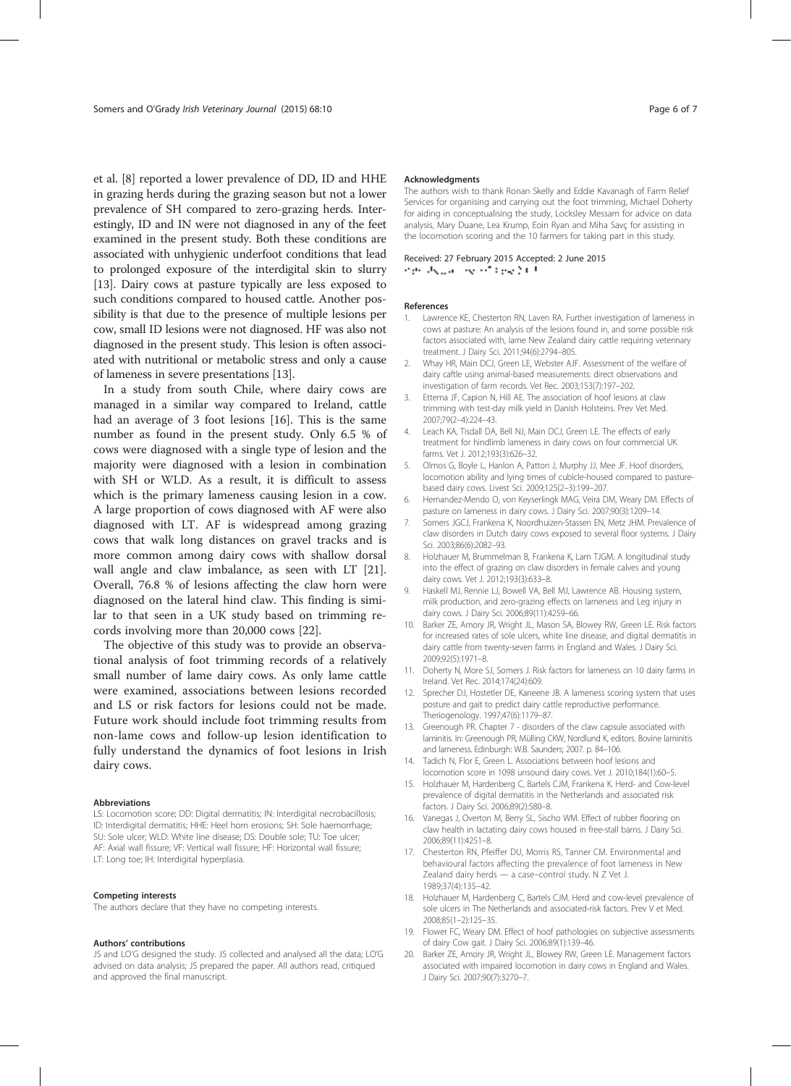et al. [8] reported a lower prevalence of DD, ID and HHE in grazing herds during the grazing season but not a lower prevalence of SH compared to zero-grazing herds. Interestingly, ID and IN were not diagnosed in any of the feet examined in the present study. Both these conditions are associated with unhygienic underfoot conditions that lead to prolonged exposure of the interdigital skin to slurry [13]. Dairy cows at pasture typically are less exposed to such conditions compared to housed cattle. Another possibility is that due to the presence of multiple lesions per cow, small ID lesions were not diagnosed. HF was also not diagnosed in the present study. This lesion is often associated with nutritional or metabolic stress and only a cause of lameness in severe presentations [13].

In a study from south Chile, where dairy cows are managed in a similar way compared to Ireland, cattle had an average of 3 foot lesions [16]. This is the same number as found in the present study. Only 6.5 % of cows were diagnosed with a single type of lesion and the majority were diagnosed with a lesion in combination with SH or WLD. As a result, it is difficult to assess which is the primary lameness causing lesion in a cow. A large proportion of cows diagnosed with AF were also diagnosed with LT. AF is widespread among grazing cows that walk long distances on gravel tracks and is more common among dairy cows with shallow dorsal wall angle and claw imbalance, as seen with LT [21]. Overall, 76.8 % of lesions affecting the claw horn were diagnosed on the lateral hind claw. This finding is similar to that seen in a UK study based on trimming records involving more than 20,000 cows [22].

The objective of this study was to provide an observational analysis of foot trimming records of a relatively small number of lame dairy cows. As only lame cattle were examined, associations between lesions recorded and LS or risk factors for lesions could not be made. Future work should include foot trimming results from non-lame cows and follow-up lesion identification to fully understand the dynamics of foot lesions in Irish dairy cows.

#### Abbreviations

LS: Locomotion score; DD: Digital dermatitis; IN: Interdigital necrobacillosis; ID: Interdigital dermatitis; HHE: Heel horn erosions; SH: Sole haemorrhage; SU: Sole ulcer; WLD: White line disease; DS: Double sole; TU: Toe ulcer; AF: Axial wall fissure; VF: Vertical wall fissure; HF: Horizontal wall fissure; LT: Long toe; IH: Interdigital hyperplasia.

#### Competing interests

The authors declare that they have no competing interests.

#### Authors' contributions

JS and LO'G designed the study. JS collected and analysed all the data; LO'G advised on data analysis; JS prepared the paper. All authors read, critiqued and approved the final manuscript.

#### Acknowledgments

The authors wish to thank Ronan Skelly and Eddie Kavanagh of Farm Relief Services for organising and carrying out the foot trimming, Michael Doherty for aiding in conceptualising the study, Locksley Messam for advice on data analysis, Mary Duane, Lea Krump, Eoin Ryan and Miha Savç for assisting in the locomotion scoring and the 10 farmers for taking part in this study.

## Received: 27 February 2015 Accepted: 2 June 2015

#### References

- 1. Lawrence KE, Chesterton RN, Laven RA. Further investigation of lameness in cows at pasture: An analysis of the lesions found in, and some possible risk factors associated with, lame New Zealand dairy cattle requiring veterinary treatment. J Dairy Sci. 2011;94(6):2794–805.
- 2. Whay HR, Main DCJ, Green LE, Webster AJF. Assessment of the welfare of dairy caftle using animal-based measurements: direct observations and investigation of farm records. Vet Rec. 2003;153(7):197–202.
- 3. Ettema JF, Capion N, Hill AE. The association of hoof lesions at claw trimming with test-day milk yield in Danish Holsteins. Prev Vet Med. 2007;79(2–4):224–43.
- 4. Leach KA, Tisdall DA, Bell NJ, Main DCJ, Green LE. The effects of early treatment for hindlimb lameness in dairy cows on four commercial UK farms. Vet J. 2012;193(3):626–32.
- 5. Olmos G, Boyle L, Hanlon A, Patton J, Murphy JJ, Mee JF. Hoof disorders, locomotion ability and lying times of cubicle-housed compared to pasturebased dairy cows. Livest Sci. 2009;125(2–3):199–207.
- 6. Hernandez-Mendo O, von Keyserlingk MAG, Veira DM, Weary DM. Effects of pasture on lameness in dairy cows. J Dairy Sci. 2007;90(3):1209–14.
- Somers JGCJ, Frankena K, Noordhuizen-Stassen EN, Metz JHM. Prevalence of claw disorders in Dutch dairy cows exposed to several floor systems. J Dairy Sci. 2003;86(6):2082–93.
- 8. Holzhauer M, Brummelman B, Frankena K, Lam TJGM. A longitudinal study into the effect of grazing on claw disorders in female calves and young dairy cows. Vet J. 2012;193(3):633–8.
- 9. Haskell MJ, Rennie LJ, Bowell VA, Bell MJ, Lawrence AB. Housing system, milk production, and zero-grazing effects on lameness and Leg injury in dairy cows. J Dairy Sci. 2006;89(11):4259–66.
- 10. Barker ZE, Amory JR, Wright JL, Mason SA, Blowey RW, Green LE. Risk factors for increased rates of sole ulcers, white line disease, and digital dermatitis in dairy cattle from twenty-seven farms in England and Wales. J Dairy Sci. 2009;92(5):1971–8.
- 11. Doherty N, More SJ, Somers J. Risk factors for lameness on 10 dairy farms in Ireland. Vet Rec. 2014;174(24):609.
- 12. Sprecher DJ, Hostetler DE, Kaneene JB. A lameness scoring system that uses posture and gait to predict dairy cattle reproductive performance. Theriogenology. 1997;47(6):1179–87.
- 13. Greenough PR. Chapter 7 disorders of the claw capsule associated with laminitis. In: Greenough PR, Mülling CKW, Nordlund K, editors. Bovine laminitis and lameness. Edinburgh: W.B. Saunders; 2007. p. 84–106.
- 14. Tadich N, Flor E, Green L. Associations between hoof lesions and locomotion score in 1098 unsound dairy cows. Vet J. 2010;184(1):60–5.
- 15. Holzhauer M, Hardenberg C, Bartels CJM, Frankena K. Herd- and Cow-level prevalence of digital dermatitis in the Netherlands and associated risk factors. J Dairy Sci. 2006;89(2):580–8.
- 16. Vanegas J, Overton M, Berry SL, Sischo WM. Effect of rubber flooring on claw health in lactating dairy cows housed in free-stall barns. J Dairy Sci. 2006;89(11):4251–8.
- 17. Chesterton RN, Pfeiffer DU, Morris RS, Tanner CM. Environmental and behavioural factors affecting the prevalence of foot lameness in New Zealand dairy herds — a case–control study. N Z Vet J. 1989;37(4):135–42.
- 18. Holzhauer M, Hardenberg C, Bartels CJM. Herd and cow-level prevalence of sole ulcers in The Netherlands and associated-risk factors. Prev V et Med. 2008;85(1–2):125–35.
- 19. Flower FC, Weary DM. Effect of hoof pathologies on subjective assessments of dairy Cow gait. J Dairy Sci. 2006;89(1):139–46.
- 20. Barker ZE, Amory JR, Wright JL, Blowey RW, Green LE. Management factors associated with impaired locomotion in dairy cows in England and Wales. J Dairy Sci. 2007;90(7):3270–7.